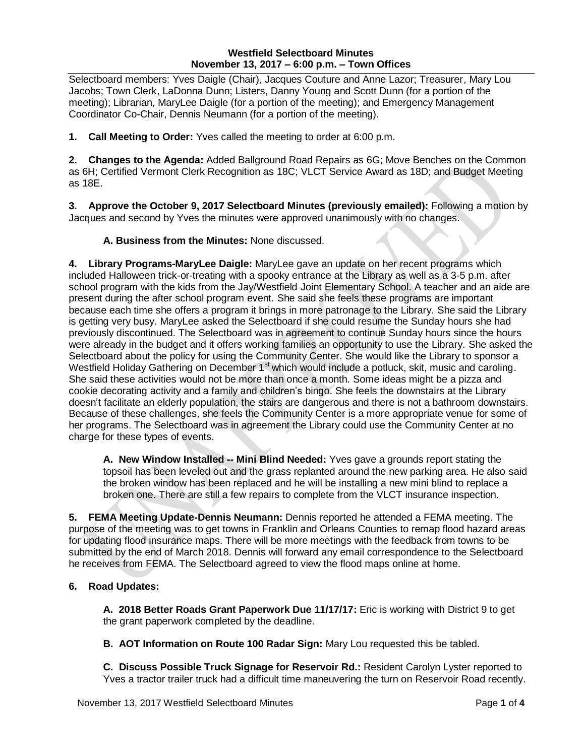## **Westfield Selectboard Minutes November 13, 2017 – 6:00 p.m. – Town Offices**

Selectboard members: Yves Daigle (Chair), Jacques Couture and Anne Lazor; Treasurer, Mary Lou Jacobs; Town Clerk, LaDonna Dunn; Listers, Danny Young and Scott Dunn (for a portion of the meeting); Librarian, MaryLee Daigle (for a portion of the meeting); and Emergency Management Coordinator Co-Chair, Dennis Neumann (for a portion of the meeting).

**1. Call Meeting to Order:** Yves called the meeting to order at 6:00 p.m.

**2. Changes to the Agenda:** Added Ballground Road Repairs as 6G; Move Benches on the Common as 6H; Certified Vermont Clerk Recognition as 18C; VLCT Service Award as 18D; and Budget Meeting as 18E.

**3. Approve the October 9, 2017 Selectboard Minutes (previously emailed):** Following a motion by Jacques and second by Yves the minutes were approved unanimously with no changes.

**A. Business from the Minutes:** None discussed.

**4. Library Programs-MaryLee Daigle:** MaryLee gave an update on her recent programs which included Halloween trick-or-treating with a spooky entrance at the Library as well as a 3-5 p.m. after school program with the kids from the Jay/Westfield Joint Elementary School. A teacher and an aide are present during the after school program event. She said she feels these programs are important because each time she offers a program it brings in more patronage to the Library. She said the Library is getting very busy. MaryLee asked the Selectboard if she could resume the Sunday hours she had previously discontinued. The Selectboard was in agreement to continue Sunday hours since the hours were already in the budget and it offers working families an opportunity to use the Library. She asked the Selectboard about the policy for using the Community Center. She would like the Library to sponsor a Westfield Holiday Gathering on December 1<sup>st</sup> which would include a potluck, skit, music and caroling. She said these activities would not be more than once a month. Some ideas might be a pizza and cookie decorating activity and a family and children's bingo. She feels the downstairs at the Library doesn't facilitate an elderly population, the stairs are dangerous and there is not a bathroom downstairs. Because of these challenges, she feels the Community Center is a more appropriate venue for some of her programs. The Selectboard was in agreement the Library could use the Community Center at no charge for these types of events.

**A. New Window Installed -- Mini Blind Needed:** Yves gave a grounds report stating the topsoil has been leveled out and the grass replanted around the new parking area. He also said the broken window has been replaced and he will be installing a new mini blind to replace a broken one. There are still a few repairs to complete from the VLCT insurance inspection.

**5. FEMA Meeting Update-Dennis Neumann:** Dennis reported he attended a FEMA meeting. The purpose of the meeting was to get towns in Franklin and Orleans Counties to remap flood hazard areas for updating flood insurance maps. There will be more meetings with the feedback from towns to be submitted by the end of March 2018. Dennis will forward any email correspondence to the Selectboard he receives from FEMA. The Selectboard agreed to view the flood maps online at home.

## **6. Road Updates:**

**A. 2018 Better Roads Grant Paperwork Due 11/17/17:** Eric is working with District 9 to get the grant paperwork completed by the deadline.

**B. AOT Information on Route 100 Radar Sign:** Mary Lou requested this be tabled.

**C. Discuss Possible Truck Signage for Reservoir Rd.:** Resident Carolyn Lyster reported to Yves a tractor trailer truck had a difficult time maneuvering the turn on Reservoir Road recently.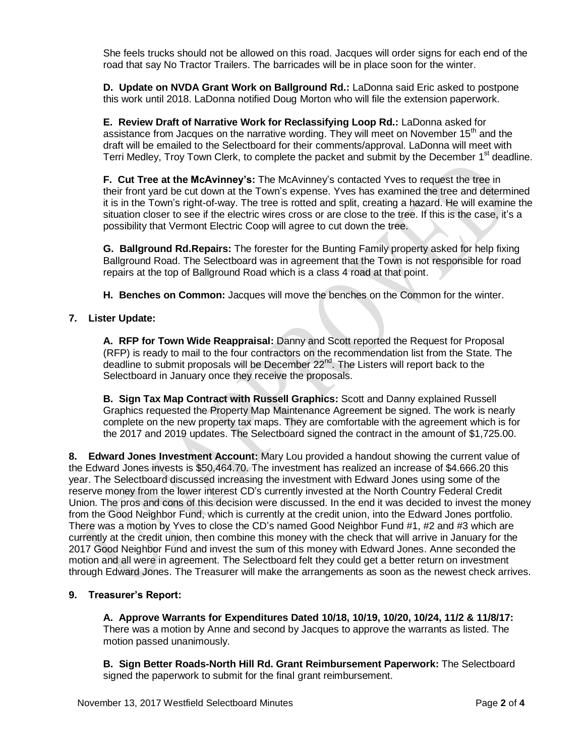She feels trucks should not be allowed on this road. Jacques will order signs for each end of the road that say No Tractor Trailers. The barricades will be in place soon for the winter.

**D. Update on NVDA Grant Work on Ballground Rd.:** LaDonna said Eric asked to postpone this work until 2018. LaDonna notified Doug Morton who will file the extension paperwork.

**E. Review Draft of Narrative Work for Reclassifying Loop Rd.:** LaDonna asked for assistance from Jacques on the narrative wording. They will meet on November 15<sup>th</sup> and the draft will be emailed to the Selectboard for their comments/approval. LaDonna will meet with Terri Medley, Troy Town Clerk, to complete the packet and submit by the December 1<sup>st</sup> deadline.

**F. Cut Tree at the McAvinney's:** The McAvinney's contacted Yves to request the tree in their front yard be cut down at the Town's expense. Yves has examined the tree and determined it is in the Town's right-of-way. The tree is rotted and split, creating a hazard. He will examine the situation closer to see if the electric wires cross or are close to the tree. If this is the case, it's a possibility that Vermont Electric Coop will agree to cut down the tree.

**G. Ballground Rd.Repairs:** The forester for the Bunting Family property asked for help fixing Ballground Road. The Selectboard was in agreement that the Town is not responsible for road repairs at the top of Ballground Road which is a class 4 road at that point.

**H. Benches on Common:** Jacques will move the benches on the Common for the winter.

# **7. Lister Update:**

**A. RFP for Town Wide Reappraisal:** Danny and Scott reported the Request for Proposal (RFP) is ready to mail to the four contractors on the recommendation list from the State. The deadline to submit proposals will be December 22<sup>nd</sup>. The Listers will report back to the Selectboard in January once they receive the proposals.

**B. Sign Tax Map Contract with Russell Graphics:** Scott and Danny explained Russell Graphics requested the Property Map Maintenance Agreement be signed. The work is nearly complete on the new property tax maps. They are comfortable with the agreement which is for the 2017 and 2019 updates. The Selectboard signed the contract in the amount of \$1,725.00.

**8. Edward Jones Investment Account:** Mary Lou provided a handout showing the current value of the Edward Jones invests is \$50,464.70. The investment has realized an increase of \$4.666.20 this year. The Selectboard discussed increasing the investment with Edward Jones using some of the reserve money from the lower interest CD's currently invested at the North Country Federal Credit Union. The pros and cons of this decision were discussed. In the end it was decided to invest the money from the Good Neighbor Fund, which is currently at the credit union, into the Edward Jones portfolio. There was a motion by Yves to close the CD's named Good Neighbor Fund #1, #2 and #3 which are currently at the credit union, then combine this money with the check that will arrive in January for the 2017 Good Neighbor Fund and invest the sum of this money with Edward Jones. Anne seconded the motion and all were in agreement. The Selectboard felt they could get a better return on investment through Edward Jones. The Treasurer will make the arrangements as soon as the newest check arrives.

## **9. Treasurer's Report:**

**A. Approve Warrants for Expenditures Dated 10/18, 10/19, 10/20, 10/24, 11/2 & 11/8/17:** There was a motion by Anne and second by Jacques to approve the warrants as listed. The motion passed unanimously.

**B. Sign Better Roads-North Hill Rd. Grant Reimbursement Paperwork:** The Selectboard signed the paperwork to submit for the final grant reimbursement.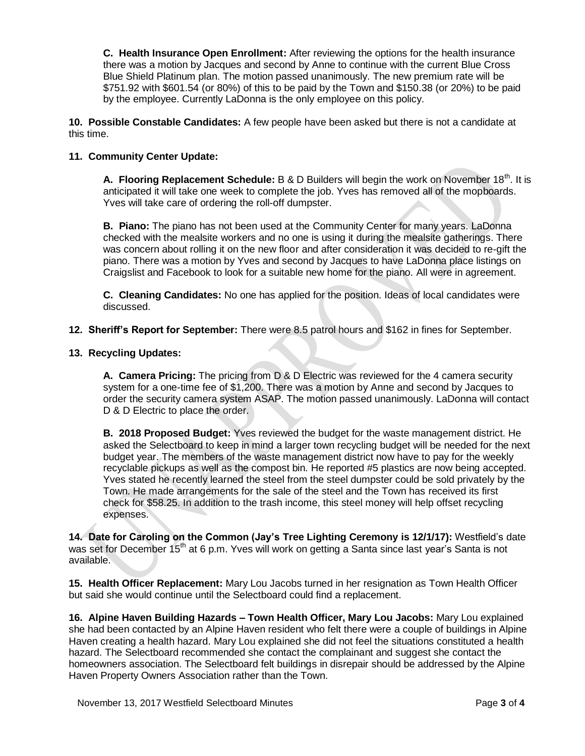**C. Health Insurance Open Enrollment:** After reviewing the options for the health insurance there was a motion by Jacques and second by Anne to continue with the current Blue Cross Blue Shield Platinum plan. The motion passed unanimously. The new premium rate will be \$751.92 with \$601.54 (or 80%) of this to be paid by the Town and \$150.38 (or 20%) to be paid by the employee. Currently LaDonna is the only employee on this policy.

**10. Possible Constable Candidates:** A few people have been asked but there is not a candidate at this time.

## **11. Community Center Update:**

A. Flooring Replacement Schedule: B & D Builders will begin the work on November 18<sup>th</sup>. It is anticipated it will take one week to complete the job. Yves has removed all of the mopboards. Yves will take care of ordering the roll-off dumpster.

**B. Piano:** The piano has not been used at the Community Center for many years. LaDonna checked with the mealsite workers and no one is using it during the mealsite gatherings. There was concern about rolling it on the new floor and after consideration it was decided to re-gift the piano. There was a motion by Yves and second by Jacques to have LaDonna place listings on Craigslist and Facebook to look for a suitable new home for the piano. All were in agreement.

**C. Cleaning Candidates:** No one has applied for the position. Ideas of local candidates were discussed.

#### **12. Sheriff's Report for September:** There were 8.5 patrol hours and \$162 in fines for September.

#### **13. Recycling Updates:**

**A. Camera Pricing:** The pricing from D & D Electric was reviewed for the 4 camera security system for a one-time fee of \$1,200. There was a motion by Anne and second by Jacques to order the security camera system ASAP. The motion passed unanimously. LaDonna will contact D & D Electric to place the order.

**B. 2018 Proposed Budget:** Yves reviewed the budget for the waste management district. He asked the Selectboard to keep in mind a larger town recycling budget will be needed for the next budget year. The members of the waste management district now have to pay for the weekly recyclable pickups as well as the compost bin. He reported #5 plastics are now being accepted. Yves stated he recently learned the steel from the steel dumpster could be sold privately by the Town. He made arrangements for the sale of the steel and the Town has received its first check for \$58.25. In addition to the trash income, this steel money will help offset recycling expenses.

**14. Date for Caroling on the Common (Jay's Tree Lighting Ceremony is 12/1/17):** Westfield's date was set for December 15<sup>th</sup> at 6 p.m. Yves will work on getting a Santa since last year's Santa is not available.

**15. Health Officer Replacement:** Mary Lou Jacobs turned in her resignation as Town Health Officer but said she would continue until the Selectboard could find a replacement.

**16. Alpine Haven Building Hazards – Town Health Officer, Mary Lou Jacobs:** Mary Lou explained she had been contacted by an Alpine Haven resident who felt there were a couple of buildings in Alpine Haven creating a health hazard. Mary Lou explained she did not feel the situations constituted a health hazard. The Selectboard recommended she contact the complainant and suggest she contact the homeowners association. The Selectboard felt buildings in disrepair should be addressed by the Alpine Haven Property Owners Association rather than the Town.